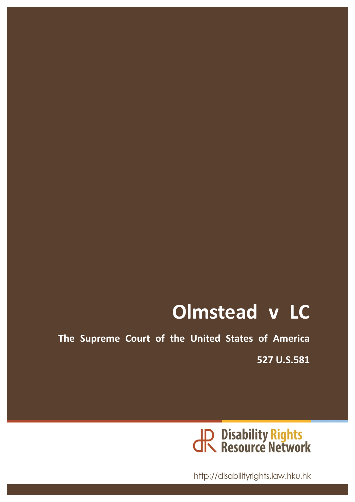# **Olmstead v LC**

The Supreme Court of the United States of America

**527 U.S.581**



http://disabilityrights.law.hku.hk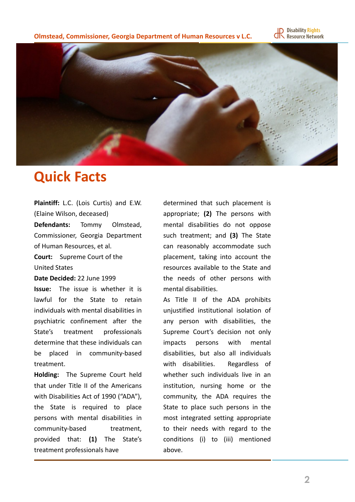



#### **Quick Facts**

Plaintiff: L.C. (Lois Curtis) and E.W. (Elaine Wilson, deceased)

**Defendants:** Tommy Olmstead, Commissioner, Georgia Department of Human Resources, et al.

**Court:** Supreme Court of the United States

#### Date Decided: 22 June 1999

**Issue:** The issue is whether it is lawful for the State to retain individuals with mental disabilities in psychiatric confinement after the State's treatment professionals determine that these individuals can be placed in community-based treatment. 

**Holding:** The Supreme Court held that under Title II of the Americans with Disabilities Act of 1990 ("ADA"), the State is required to place persons with mental disabilities in community-based treatment, provided that: **(1)**  The State's treatment professionals have

determined that such placement is appropriate; (2) The persons with mental disabilities do not oppose such treatment; and (3) The State can reasonably accommodate such placement, taking into account the resources available to the State and the needs of other persons with mental disabilities.

As Title II of the ADA prohibits unjustified institutional isolation of any person with disabilities, the Supreme Court's decision not only impacts persons with mental disabilities, but also all individuals with disabilities. Regardless of whether such individuals live in an institution, nursing home or the community, the ADA requires the State to place such persons in the most integrated setting appropriate to their needs with regard to the conditions (i) to (iii) mentioned above.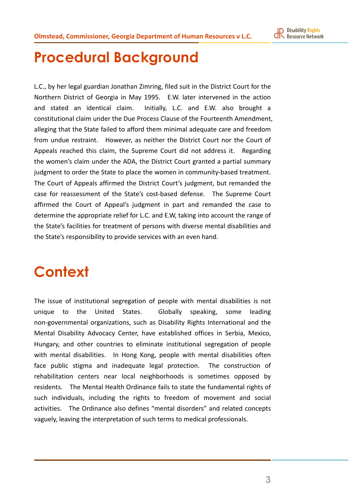## **Procedural Background**

L.C., by her legal guardian Jonathan Zimring, filed suit in the District Court for the Northern District of Georgia in May 1995. E.W. later intervened in the action and stated an identical claim. Initially, L.C. and E.W. also brought a constitutional claim under the Due Process Clause of the Fourteenth Amendment, alleging that the State failed to afford them minimal adequate care and freedom from undue restraint. However, as neither the District Court nor the Court of Appeals reached this claim, the Supreme Court did not address it. Regarding the women's claim under the ADA, the District Court granted a partial summary judgment to order the State to place the women in community-based treatment. The Court of Appeals affirmed the District Court's judgment, but remanded the case for reassessment of the State's cost-based defense. The Supreme Court affirmed the Court of Appeal's judgment in part and remanded the case to determine the appropriate relief for L.C. and E.W, taking into account the range of the State's facilities for treatment of persons with diverse mental disabilities and the State's responsibility to provide services with an even hand.

## **Context**

The issue of institutional segregation of people with mental disabilities is not unique to the United States. Globally speaking, some leading non-governmental organizations, such as Disability Rights International and the Mental Disability Advocacy Center, have established offices in Serbia, Mexico, Hungary, and other countries to eliminate institutional segregation of people with mental disabilities. In Hong Kong, people with mental disabilities often face public stigma and inadequate legal protection. The construction of rehabilitation centers near local neighborhoods is sometimes opposed by residents. The Mental Health Ordinance fails to state the fundamental rights of such individuals, including the rights to freedom of movement and social activities. The Ordinance also defines "mental disorders" and related concepts vaguely, leaving the interpretation of such terms to medical professionals.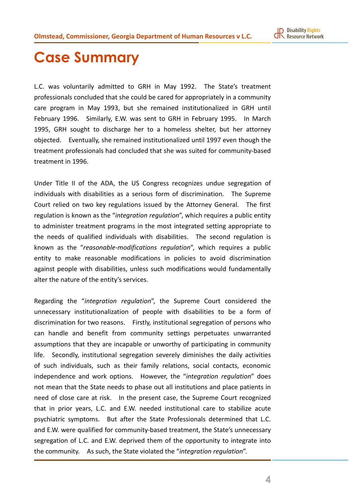## **Case Summary**

L.C. was voluntarily admitted to GRH in May 1992. The State's treatment professionals concluded that she could be cared for appropriately in a community care program in May 1993, but she remained institutionalized in GRH until February 1996. Similarly, E.W. was sent to GRH in February 1995. In March 1995, GRH sought to discharge her to a homeless shelter, but her attorney objected. Eventually, she remained institutionalized until 1997 even though the treatment professionals had concluded that she was suited for community-based treatment in 1996.

Under Title II of the ADA, the US Congress recognizes undue segregation of individuals with disabilities as a serious form of discrimination. The Supreme Court relied on two key regulations issued by the Attorney General. The first regulation is known as the "*integration regulation*", which requires a public entity to administer treatment programs in the most integrated setting appropriate to the needs of qualified individuals with disabilities. The second regulation is known as the "reasonable-modifications regulation", which requires a public entity to make reasonable modifications in policies to avoid discrimination against people with disabilities, unless such modifications would fundamentally alter the nature of the entity's services.

Regarding the "integration regulation", the Supreme Court considered the unnecessary institutionalization of people with disabilities to be a form of discrimination for two reasons. Firstly, institutional segregation of persons who can handle and benefit from community settings perpetuates unwarranted assumptions that they are incapable or unworthy of participating in community life. Secondly, institutional segregation severely diminishes the daily activities of such individuals, such as their family relations, social contacts, economic independence and work options. However, the "*integration regulation*" does not mean that the State needs to phase out all institutions and place patients in need of close care at risk. In the present case, the Supreme Court recognized that in prior years, L.C. and E.W. needed institutional care to stabilize acute psychiatric symptoms. But after the State Professionals determined that L.C. and E.W. were qualified for community-based treatment, the State's unnecessary segregation of L.C. and E.W. deprived them of the opportunity to integrate into the community. As such, the State violated the "*integration regulation*".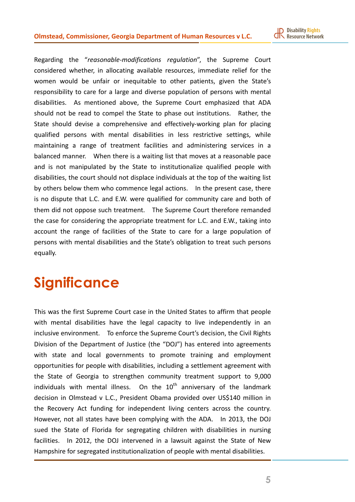**ID** Disability Rights<br>**CIN** Resource Network

Regarding the "reasonable-modifications regulation", the Supreme Court considered whether, in allocating available resources, immediate relief for the women would be unfair or inequitable to other patients, given the State's responsibility to care for a large and diverse population of persons with mental disabilities. As mentioned above, the Supreme Court emphasized that ADA should not be read to compel the State to phase out institutions. Rather, the State should devise a comprehensive and effectively-working plan for placing qualified persons with mental disabilities in less restrictive settings, while maintaining a range of treatment facilities and administering services in a balanced manner. When there is a waiting list that moves at a reasonable pace and is not manipulated by the State to institutionalize qualified people with disabilities, the court should not displace individuals at the top of the waiting list by others below them who commence legal actions. In the present case, there is no dispute that L.C. and E.W. were qualified for community care and both of them did not oppose such treatment. The Supreme Court therefore remanded the case for considering the appropriate treatment for L.C. and E.W., taking into account the range of facilities of the State to care for a large population of persons with mental disabilities and the State's obligation to treat such persons equally. 

## **Significance**

This was the first Supreme Court case in the United States to affirm that people with mental disabilities have the legal capacity to live independently in an inclusive environment. To enforce the Supreme Court's decision, the Civil Rights Division of the Department of Justice (the "DOJ") has entered into agreements with state and local governments to promote training and employment opportunities for people with disabilities, including a settlement agreement with the State of Georgia to strengthen community treatment support to 9,000 individuals with mental illness. On the  $10<sup>th</sup>$  anniversary of the landmark decision in Olmstead v L.C., President Obama provided over US\$140 million in the Recovery Act funding for independent living centers across the country. However, not all states have been complying with the ADA. In 2013, the DOJ sued the State of Florida for segregating children with disabilities in nursing facilities. In 2012, the DOJ intervened in a lawsuit against the State of New Hampshire for segregated institutionalization of people with mental disabilities.